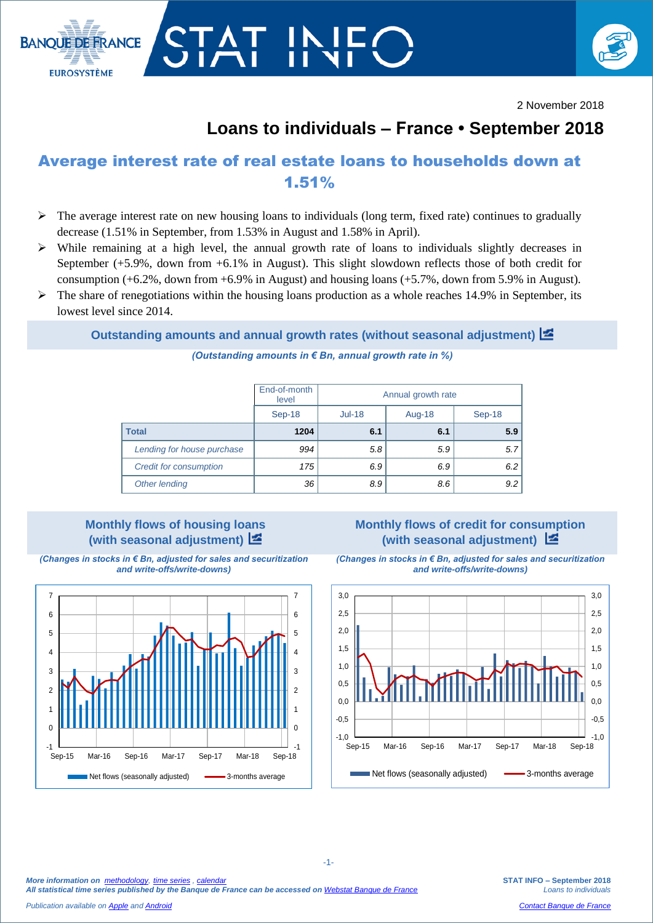



2 November 2018

# **Loans to individuals – France • September 2018**

## Average interest rate of real estate loans to households down at 1.51%

- $\triangleright$  The average interest rate on new housing loans to individuals (long term, fixed rate) continues to gradually decrease (1.51% in September, from 1.53% in August and 1.58% in April).
- While remaining at a high level, the annual growth rate of loans to individuals slightly decreases in September (+5.9%, down from +6.1% in August). This slight slowdown reflects those of both credit for consumption (+6.2%, down from +6.9% in August) and housing loans (+5.7%, down from 5.9% in August).
- $\triangleright$  The share of renegotiations within the housing loans production as a whole reaches 14.9% in September, its lowest level since 2014.

**Outstanding amounts and annual growth rates (without seasonal adjustment)**  $\mathbb{Z}$ 

*(Outstanding amounts in € Bn, annual growth rate in %)*

|                               | End-of-month<br>level | Annual growth rate |        |        |  |  |
|-------------------------------|-----------------------|--------------------|--------|--------|--|--|
|                               | Sep-18                | $Jul-18$           | Aug-18 | Sep-18 |  |  |
| <b>Total</b>                  | 1204                  | 6.1                | 6.1    | 5.9    |  |  |
| Lending for house purchase    | 994                   | 5.8                | 5.9    | 5.7    |  |  |
| <b>Credit for consumption</b> | 175                   | 6.9                | 6.9    | 6.2    |  |  |
| Other lending                 | 36                    | 8.9                | 8.6    | 9.2    |  |  |

### **Monthly flows of housing loans (with seasonal adjustment)**

*(Changes in stocks in € Bn, adjusted for sales and securitization and write-offs/write-downs)*



**(with seasonal adjustment)**  *(Changes in stocks in € Bn, adjusted for sales and securitization* 

**Monthly flows of credit for consumption** 



*More information on [methodology,](https://www.banque-france.fr/en/statistics/access-series/methodologies) [time series](http://webstat.banque-france.fr/en/browse.do?node=5384775) [, calendar](https://www.banque-france.fr/en/statistics/calendar)*

*All statistical time series published by the Banque de France can be accessed on [Webstat Banque de France](http://webstat.banque-france.fr/en/)*